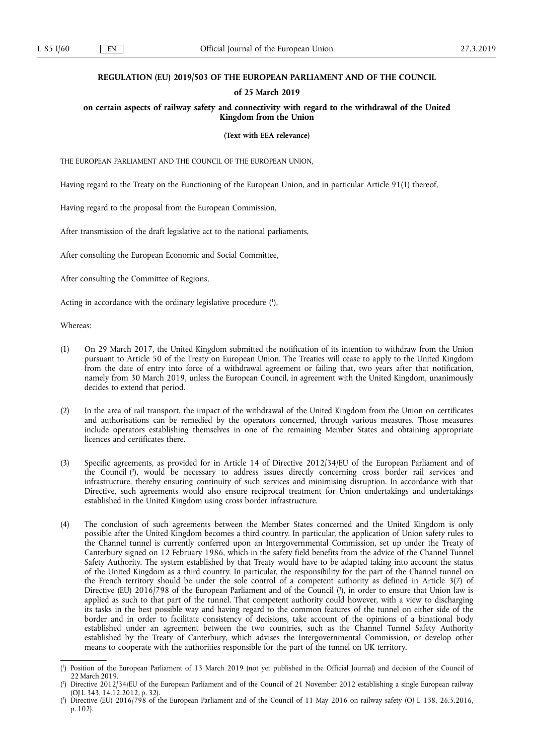### **REGULATION (EU) 2019/503 OF THE EUROPEAN PARLIAMENT AND OF THE COUNCIL**

## **of 25 March 2019**

**on certain aspects of railway safety and connectivity with regard to the withdrawal of the United Kingdom from the Union** 

**(Text with EEA relevance)** 

THE EUROPEAN PARLIAMENT AND THE COUNCIL OF THE EUROPEAN UNION,

Having regard to the Treaty on the Functioning of the European Union, and in particular Article 91(1) thereof,

Having regard to the proposal from the European Commission,

After transmission of the draft legislative act to the national parliaments,

After consulting the European Economic and Social Committee,

After consulting the Committee of Regions,

Acting in accordance with the ordinary legislative procedure (1),

Whereas:

- (1) On 29 March 2017, the United Kingdom submitted the notification of its intention to withdraw from the Union pursuant to Article 50 of the Treaty on European Union. The Treaties will cease to apply to the United Kingdom from the date of entry into force of a withdrawal agreement or failing that, two years after that notification, namely from 30 March 2019, unless the European Council, in agreement with the United Kingdom, unanimously decides to extend that period.
- (2) In the area of rail transport, the impact of the withdrawal of the United Kingdom from the Union on certificates and authorisations can be remedied by the operators concerned, through various measures. Those measures include operators establishing themselves in one of the remaining Member States and obtaining appropriate licences and certificates there.
- (3) Specific agreements, as provided for in Article 14 of Directive 2012/34/EU of the European Parliament and of the Council ( 2 ), would be necessary to address issues directly concerning cross border rail services and infrastructure, thereby ensuring continuity of such services and minimising disruption. In accordance with that Directive, such agreements would also ensure reciprocal treatment for Union undertakings and undertakings established in the United Kingdom using cross border infrastructure.
- (4) The conclusion of such agreements between the Member States concerned and the United Kingdom is only possible after the United Kingdom becomes a third country. In particular, the application of Union safety rules to the Channel tunnel is currently conferred upon an Intergovernmental Commission, set up under the Treaty of Canterbury signed on 12 February 1986, which in the safety field benefits from the advice of the Channel Tunnel Safety Authority. The system established by that Treaty would have to be adapted taking into account the status of the United Kingdom as a third country. In particular, the responsibility for the part of the Channel tunnel on the French territory should be under the sole control of a competent authority as defined in Article 3(7) of Directive (EU) 2016/798 of the European Parliament and of the Council ( 3 ), in order to ensure that Union law is applied as such to that part of the tunnel. That competent authority could however, with a view to discharging its tasks in the best possible way and having regard to the common features of the tunnel on either side of the border and in order to facilitate consistency of decisions, take account of the opinions of a binational body established under an agreement between the two countries, such as the Channel Tunnel Safety Authority established by the Treaty of Canterbury, which advises the Intergovernmental Commission, or develop other means to cooperate with the authorities responsible for the part of the tunnel on UK territory.

<sup>(</sup> 1 ) Position of the European Parliament of 13 March 2019 (not yet published in the Official Journal) and decision of the Council of 22 March 2019.

<sup>(</sup> 2 ) Directive 2012/34/EU of the European Parliament and of the Council of 21 November 2012 establishing a single European railway (OJ L 343, 14.12.2012, p. 32).

<sup>(</sup> 3 ) Directive (EU) 2016/798 of the European Parliament and of the Council of 11 May 2016 on railway safety (OJ L 138, 26.5.2016, p. 102).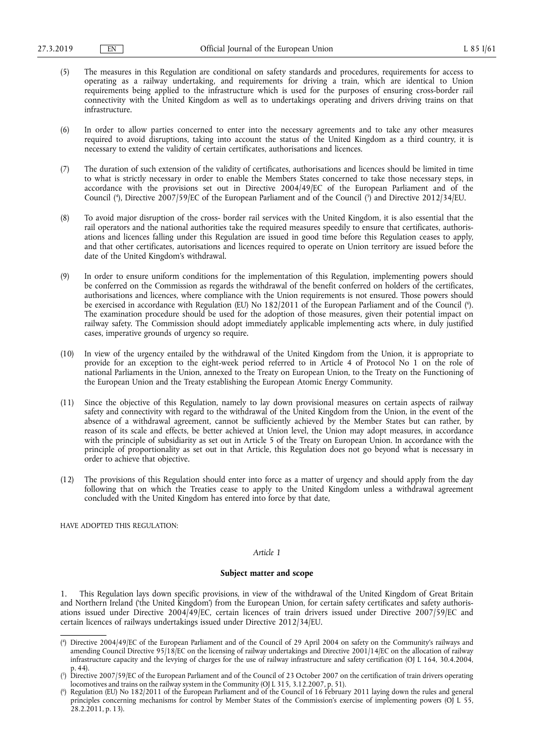- (5) The measures in this Regulation are conditional on safety standards and procedures, requirements for access to operating as a railway undertaking, and requirements for driving a train, which are identical to Union requirements being applied to the infrastructure which is used for the purposes of ensuring cross-border rail connectivity with the United Kingdom as well as to undertakings operating and drivers driving trains on that infrastructure.
- (6) In order to allow parties concerned to enter into the necessary agreements and to take any other measures required to avoid disruptions, taking into account the status of the United Kingdom as a third country, it is necessary to extend the validity of certain certificates, authorisations and licences.
- (7) The duration of such extension of the validity of certificates, authorisations and licences should be limited in time to what is strictly necessary in order to enable the Members States concerned to take those necessary steps, in accordance with the provisions set out in Directive 2004/49/EC of the European Parliament and of the Council (<sup>4</sup>), Directive 2007/59/EC of the European Parliament and of the Council (<sup>5</sup>) and Directive 2012/34/EU.
- (8) To avoid major disruption of the cross- border rail services with the United Kingdom, it is also essential that the rail operators and the national authorities take the required measures speedily to ensure that certificates, authorisations and licences falling under this Regulation are issued in good time before this Regulation ceases to apply, and that other certificates, autorisations and licences required to operate on Union territory are issued before the date of the United Kingdom's withdrawal.
- (9) In order to ensure uniform conditions for the implementation of this Regulation, implementing powers should be conferred on the Commission as regards the withdrawal of the benefit conferred on holders of the certificates, authorisations and licences, where compliance with the Union requirements is not ensured. Those powers should be exercised in accordance with Regulation (EU) No 182/2011 of the European Parliament and of the Council ( 6 ). The examination procedure should be used for the adoption of those measures, given their potential impact on railway safety. The Commission should adopt immediately applicable implementing acts where, in duly justified cases, imperative grounds of urgency so require.
- (10) In view of the urgency entailed by the withdrawal of the United Kingdom from the Union, it is appropriate to provide for an exception to the eight-week period referred to in Article 4 of Protocol No 1 on the role of national Parliaments in the Union, annexed to the Treaty on European Union, to the Treaty on the Functioning of the European Union and the Treaty establishing the European Atomic Energy Community.
- (11) Since the objective of this Regulation, namely to lay down provisional measures on certain aspects of railway safety and connectivity with regard to the withdrawal of the United Kingdom from the Union, in the event of the absence of a withdrawal agreement, cannot be sufficiently achieved by the Member States but can rather, by reason of its scale and effects, be better achieved at Union level, the Union may adopt measures, in accordance with the principle of subsidiarity as set out in Article 5 of the Treaty on European Union. In accordance with the principle of proportionality as set out in that Article, this Regulation does not go beyond what is necessary in order to achieve that objective.
- (12) The provisions of this Regulation should enter into force as a matter of urgency and should apply from the day following that on which the Treaties cease to apply to the United Kingdom unless a withdrawal agreement concluded with the United Kingdom has entered into force by that date,

HAVE ADOPTED THIS REGULATION:

#### *Article 1*

#### **Subject matter and scope**

1. This Regulation lays down specific provisions, in view of the withdrawal of the United Kingdom of Great Britain and Northern Ireland ('the United Kingdom') from the European Union, for certain safety certificates and safety authorisations issued under Directive 2004/49/EC, certain licences of train drivers issued under Directive 2007/59/EC and certain licences of railways undertakings issued under Directive 2012/34/EU.

<sup>(</sup> 4 ) Directive 2004/49/EC of the European Parliament and of the Council of 29 April 2004 on safety on the Community's railways and amending Council Directive 95/18/EC on the licensing of railway undertakings and Directive 2001/14/EC on the allocation of railway infrastructure capacity and the levying of charges for the use of railway infrastructure and safety certification (OJ L 164, 30.4.2004, p. 44).

<sup>(</sup> 5 ) Directive 2007/59/EC of the European Parliament and of the Council of 23 October 2007 on the certification of train drivers operating locomotives and trains on the railway system in the Community (OJ L 315, 3.12.2007, p. 51).

<sup>(</sup> 6 ) Regulation (EU) No 182/2011 of the European Parliament and of the Council of 16 February 2011 laying down the rules and general principles concerning mechanisms for control by Member States of the Commission's exercise of implementing powers (OJ L 55, 28.2.2011, p. 13).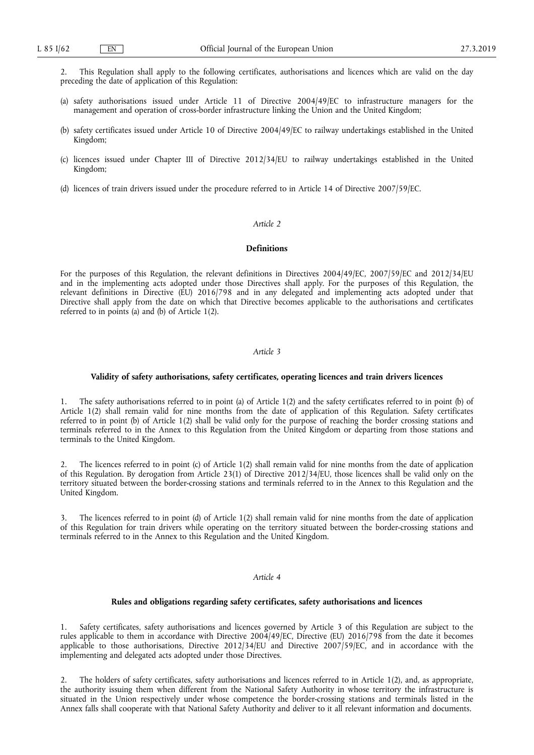2. This Regulation shall apply to the following certificates, authorisations and licences which are valid on the day preceding the date of application of this Regulation:

- (a) safety authorisations issued under Article 11 of Directive 2004/49/EC to infrastructure managers for the management and operation of cross-border infrastructure linking the Union and the United Kingdom;
- (b) safety certificates issued under Article 10 of Directive 2004/49/EC to railway undertakings established in the United Kingdom;
- (c) licences issued under Chapter III of Directive 2012/34/EU to railway undertakings established in the United Kingdom;
- (d) licences of train drivers issued under the procedure referred to in Article 14 of Directive 2007/59/EC.

# *Article 2*

## **Definitions**

For the purposes of this Regulation, the relevant definitions in Directives 2004/49/EC, 2007/59/EC and 2012/34/EU and in the implementing acts adopted under those Directives shall apply. For the purposes of this Regulation, the relevant definitions in Directive (EU) 2016/798 and in any delegated and implementing acts adopted under that Directive shall apply from the date on which that Directive becomes applicable to the authorisations and certificates referred to in points (a) and (b) of Article 1(2).

## *Article 3*

#### **Validity of safety authorisations, safety certificates, operating licences and train drivers licences**

1. The safety authorisations referred to in point (a) of Article 1(2) and the safety certificates referred to in point (b) of Article 1(2) shall remain valid for nine months from the date of application of this Regulation. Safety certificates referred to in point (b) of Article 1(2) shall be valid only for the purpose of reaching the border crossing stations and terminals referred to in the Annex to this Regulation from the United Kingdom or departing from those stations and terminals to the United Kingdom.

2. The licences referred to in point (c) of Article 1(2) shall remain valid for nine months from the date of application of this Regulation. By derogation from Article 23(1) of Directive 2012/34/EU, those licences shall be valid only on the territory situated between the border-crossing stations and terminals referred to in the Annex to this Regulation and the United Kingdom.

The licences referred to in point (d) of Article 1(2) shall remain valid for nine months from the date of application of this Regulation for train drivers while operating on the territory situated between the border-crossing stations and terminals referred to in the Annex to this Regulation and the United Kingdom.

## *Article 4*

# **Rules and obligations regarding safety certificates, safety authorisations and licences**

Safety certificates, safety authorisations and licences governed by Article 3 of this Regulation are subject to the rules applicable to them in accordance with Directive 2004/49/EC, Directive (EU) 2016/798 from the date it becomes applicable to those authorisations, Directive 2012/34/EU and Directive 2007/59/EC, and in accordance with the implementing and delegated acts adopted under those Directives.

2. The holders of safety certificates, safety authorisations and licences referred to in Article 1(2), and, as appropriate, the authority issuing them when different from the National Safety Authority in whose territory the infrastructure is situated in the Union respectively under whose competence the border-crossing stations and terminals listed in the Annex falls shall cooperate with that National Safety Authority and deliver to it all relevant information and documents.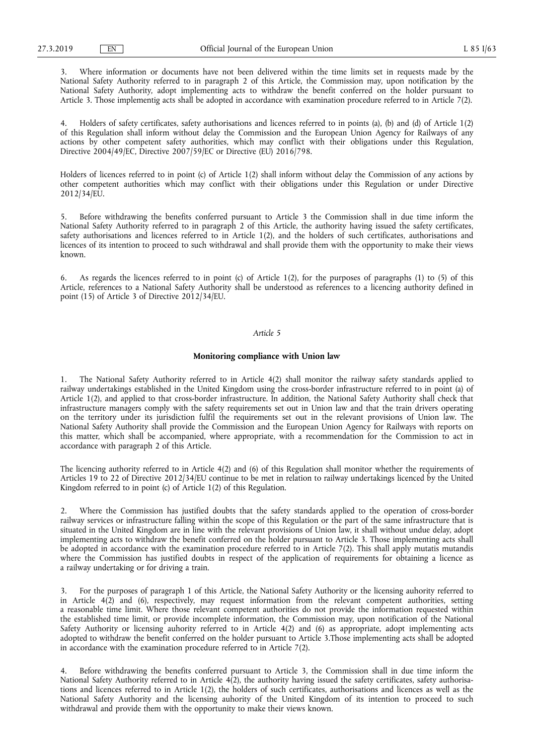3. Where information or documents have not been delivered within the time limits set in requests made by the National Safety Authority referred to in paragraph 2 of this Article, the Commission may, upon notification by the National Safety Authority, adopt implementing acts to withdraw the benefit conferred on the holder pursuant to Article 3. Those implementig acts shall be adopted in accordance with examination procedure referred to in Article 7(2).

4. Holders of safety certificates, safety authorisations and licences referred to in points (a), (b) and (d) of Article 1(2) of this Regulation shall inform without delay the Commission and the European Union Agency for Railways of any actions by other competent safety authorities, which may conflict with their obligations under this Regulation, Directive 2004/49/EC, Directive 2007/59/EC or Directive (EU) 2016/798.

Holders of licences referred to in point (c) of Article 1(2) shall inform without delay the Commission of any actions by other competent authorities which may conflict with their obligations under this Regulation or under Directive 2012/34/EU.

5. Before withdrawing the benefits conferred pursuant to Article 3 the Commission shall in due time inform the National Safety Authority referred to in paragraph 2 of this Article, the authority having issued the safety certificates, safety authorisations and licences referred to in Article 1(2), and the holders of such certificates, authorisations and licences of its intention to proceed to such withdrawal and shall provide them with the opportunity to make their views known.

6. As regards the licences referred to in point (c) of Article 1(2), for the purposes of paragraphs (1) to (5) of this Article, references to a National Safety Authority shall be understood as references to a licencing authority defined in point (15) of Article 3 of Directive 2012/34/EU.

#### *Article 5*

#### **Monitoring compliance with Union law**

1. The National Safety Authority referred to in Article 4(2) shall monitor the railway safety standards applied to railway undertakings established in the United Kingdom using the cross-border infrastructure referred to in point (a) of Article 1(2), and applied to that cross-border infrastructure. In addition, the National Safety Authority shall check that infrastructure managers comply with the safety requirements set out in Union law and that the train drivers operating on the territory under its jurisdiction fulfil the requirements set out in the relevant provisions of Union law. The National Safety Authority shall provide the Commission and the European Union Agency for Railways with reports on this matter, which shall be accompanied, where appropriate, with a recommendation for the Commission to act in accordance with paragraph 2 of this Article.

The licencing authority referred to in Article 4(2) and (6) of this Regulation shall monitor whether the requirements of Articles 19 to 22 of Directive 2012/34/EU continue to be met in relation to railway undertakings licenced by the United Kingdom referred to in point (c) of Article 1(2) of this Regulation.

2. Where the Commission has justified doubts that the safety standards applied to the operation of cross-border railway services or infrastructure falling within the scope of this Regulation or the part of the same infrastructure that is situated in the United Kingdom are in line with the relevant provisions of Union law, it shall without undue delay, adopt implementing acts to withdraw the benefit conferred on the holder pursuant to Article 3. Those implementing acts shall be adopted in accordance with the examination procedure referred to in Article 7(2). This shall apply mutatis mutandis where the Commission has justified doubts in respect of the application of requirements for obtaining a licence as a railway undertaking or for driving a train.

3. For the purposes of paragraph 1 of this Article, the National Safety Authority or the licensing auhority referred to in Article 4(2) and (6), respectively, may request information from the relevant competent authorities, setting a reasonable time limit. Where those relevant competent authorities do not provide the information requested within the established time limit, or provide incomplete information, the Commission may, upon notification of the National Safety Authority or licensing auhority referred to in Article 4(2) and (6) as appropriate, adopt implementing acts adopted to withdraw the benefit conferred on the holder pursuant to Article 3.Those implementing acts shall be adopted in accordance with the examination procedure referred to in Article 7(2).

4. Before withdrawing the benefits conferred pursuant to Article 3, the Commission shall in due time inform the National Safety Authority referred to in Article  $4(2)$ , the authority having issued the safety certificates, safety authorisations and licences referred to in Article 1(2), the holders of such certificates, authorisations and licences as well as the National Safety Authority and the licensing auhority of the United Kingdom of its intention to proceed to such withdrawal and provide them with the opportunity to make their views known.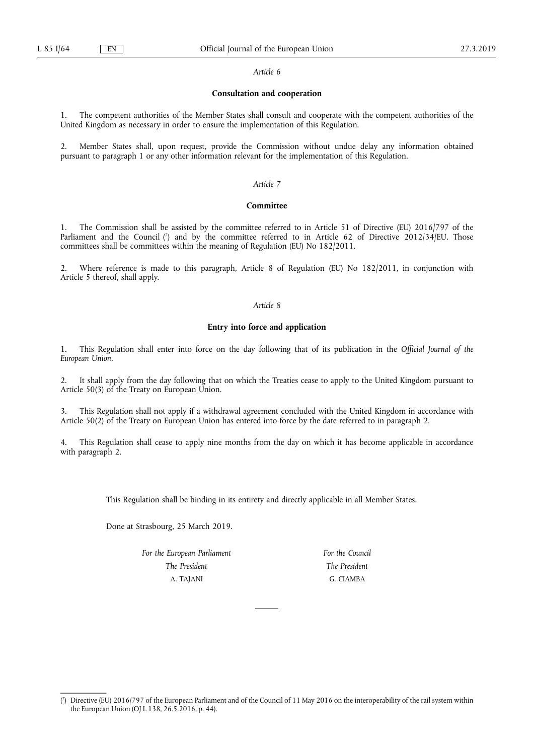#### *Article 6*

# **Consultation and cooperation**

1. The competent authorities of the Member States shall consult and cooperate with the competent authorities of the United Kingdom as necessary in order to ensure the implementation of this Regulation.

2. Member States shall, upon request, provide the Commission without undue delay any information obtained pursuant to paragraph 1 or any other information relevant for the implementation of this Regulation.

# *Article 7*

#### **Committee**

1. The Commission shall be assisted by the committee referred to in Article 51 of Directive (EU) 2016/797 of the Parliament and the Council (') and by the committee referred to in Article 62 of Directive 2012/34/EU. Those committees shall be committees within the meaning of Regulation (EU) No 182/2011.

2. Where reference is made to this paragraph, Article 8 of Regulation (EU) No 182/2011, in conjunction with Article 5 thereof, shall apply.

# *Article 8*

## **Entry into force and application**

1. This Regulation shall enter into force on the day following that of its publication in the *Official Journal of the European Union*.

2. It shall apply from the day following that on which the Treaties cease to apply to the United Kingdom pursuant to Article 50(3) of the Treaty on European Union.

3. This Regulation shall not apply if a withdrawal agreement concluded with the United Kingdom in accordance with Article 50(2) of the Treaty on European Union has entered into force by the date referred to in paragraph 2.

4. This Regulation shall cease to apply nine months from the day on which it has become applicable in accordance with paragraph 2.

This Regulation shall be binding in its entirety and directly applicable in all Member States.

Done at Strasbourg, 25 March 2019.

*For the European Parliament The President*  A. TAJANI

*For the Council The President*  G. CIAMBA

<sup>(</sup> 7 ) Directive (EU) 2016/797 of the European Parliament and of the Council of 11 May 2016 on the interoperability of the rail system within the European Union (OJ L 138, 26.5.2016, p. 44).